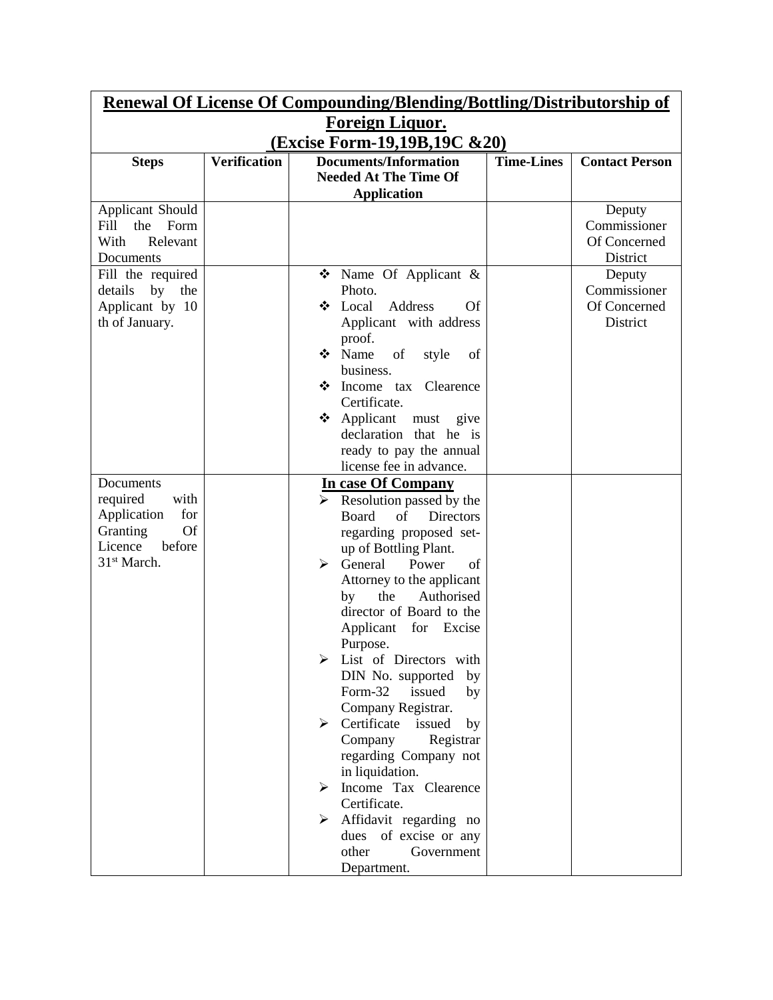| Renewal Of License Of Compounding/Blending/Bottling/Distributorship of |                     |                                                              |                   |                       |  |  |  |  |  |  |  |
|------------------------------------------------------------------------|---------------------|--------------------------------------------------------------|-------------------|-----------------------|--|--|--|--|--|--|--|
| Foreign Liquor.                                                        |                     |                                                              |                   |                       |  |  |  |  |  |  |  |
| (Excise Form-19,19B,19C &20)                                           |                     |                                                              |                   |                       |  |  |  |  |  |  |  |
| <b>Steps</b>                                                           | <b>Verification</b> | <b>Documents/Information</b><br><b>Needed At The Time Of</b> | <b>Time-Lines</b> | <b>Contact Person</b> |  |  |  |  |  |  |  |
|                                                                        |                     | <b>Application</b>                                           |                   |                       |  |  |  |  |  |  |  |
| Applicant Should                                                       |                     |                                                              |                   | Deputy                |  |  |  |  |  |  |  |
| Fill<br>the Form                                                       |                     |                                                              |                   | Commissioner          |  |  |  |  |  |  |  |
| With<br>Relevant                                                       |                     |                                                              |                   | Of Concerned          |  |  |  |  |  |  |  |
| Documents                                                              |                     |                                                              |                   | District              |  |  |  |  |  |  |  |
| Fill the required                                                      |                     | $\bullet$ Name Of Applicant &                                |                   | Deputy                |  |  |  |  |  |  |  |
| details<br>by<br>the                                                   |                     | Photo.                                                       |                   | Commissioner          |  |  |  |  |  |  |  |
| Applicant by 10                                                        |                     | Local<br>Address<br><b>Of</b><br>❖                           |                   | Of Concerned          |  |  |  |  |  |  |  |
| th of January.                                                         |                     | Applicant with address                                       |                   | District              |  |  |  |  |  |  |  |
|                                                                        |                     | proof.                                                       |                   |                       |  |  |  |  |  |  |  |
|                                                                        |                     | $\div$ Name<br>of<br>style<br>of                             |                   |                       |  |  |  |  |  |  |  |
|                                                                        |                     | business.                                                    |                   |                       |  |  |  |  |  |  |  |
|                                                                        |                     | Income tax Clearence<br>❖<br>Certificate.                    |                   |                       |  |  |  |  |  |  |  |
|                                                                        |                     | Applicant must give<br>❖                                     |                   |                       |  |  |  |  |  |  |  |
|                                                                        |                     | declaration that he is                                       |                   |                       |  |  |  |  |  |  |  |
|                                                                        |                     | ready to pay the annual                                      |                   |                       |  |  |  |  |  |  |  |
|                                                                        |                     | license fee in advance.                                      |                   |                       |  |  |  |  |  |  |  |
| Documents                                                              |                     | In case Of Company                                           |                   |                       |  |  |  |  |  |  |  |
| required<br>with                                                       |                     | Resolution passed by the                                     |                   |                       |  |  |  |  |  |  |  |
| Application<br>for                                                     |                     | of<br><b>Board</b><br><b>Directors</b>                       |                   |                       |  |  |  |  |  |  |  |
| Of<br>Granting                                                         |                     | regarding proposed set-                                      |                   |                       |  |  |  |  |  |  |  |
| Licence<br>before                                                      |                     | up of Bottling Plant.                                        |                   |                       |  |  |  |  |  |  |  |
| 31 <sup>st</sup> March.                                                |                     | General<br>Power<br>≻<br>of                                  |                   |                       |  |  |  |  |  |  |  |
|                                                                        |                     | Attorney to the applicant                                    |                   |                       |  |  |  |  |  |  |  |
|                                                                        |                     | the<br>Authorised<br>by                                      |                   |                       |  |  |  |  |  |  |  |
|                                                                        |                     | director of Board to the                                     |                   |                       |  |  |  |  |  |  |  |
|                                                                        |                     | Applicant for Excise<br>Purpose.                             |                   |                       |  |  |  |  |  |  |  |
|                                                                        |                     | List of Directors with                                       |                   |                       |  |  |  |  |  |  |  |
|                                                                        |                     | DIN No. supported<br>by                                      |                   |                       |  |  |  |  |  |  |  |
|                                                                        |                     | Form-32<br>issued<br>by                                      |                   |                       |  |  |  |  |  |  |  |
|                                                                        |                     | Company Registrar.                                           |                   |                       |  |  |  |  |  |  |  |
|                                                                        |                     | Certificate<br>issued<br>by<br>➤                             |                   |                       |  |  |  |  |  |  |  |
|                                                                        |                     | Company<br>Registrar                                         |                   |                       |  |  |  |  |  |  |  |
|                                                                        |                     | regarding Company not                                        |                   |                       |  |  |  |  |  |  |  |
|                                                                        |                     | in liquidation.                                              |                   |                       |  |  |  |  |  |  |  |
|                                                                        |                     | $\triangleright$ Income Tax Clearence                        |                   |                       |  |  |  |  |  |  |  |
|                                                                        |                     | Certificate.                                                 |                   |                       |  |  |  |  |  |  |  |
|                                                                        |                     | Affidavit regarding no<br>➤                                  |                   |                       |  |  |  |  |  |  |  |
|                                                                        |                     | dues of excise or any<br>other<br>Government                 |                   |                       |  |  |  |  |  |  |  |
|                                                                        |                     | Department.                                                  |                   |                       |  |  |  |  |  |  |  |
|                                                                        |                     |                                                              |                   |                       |  |  |  |  |  |  |  |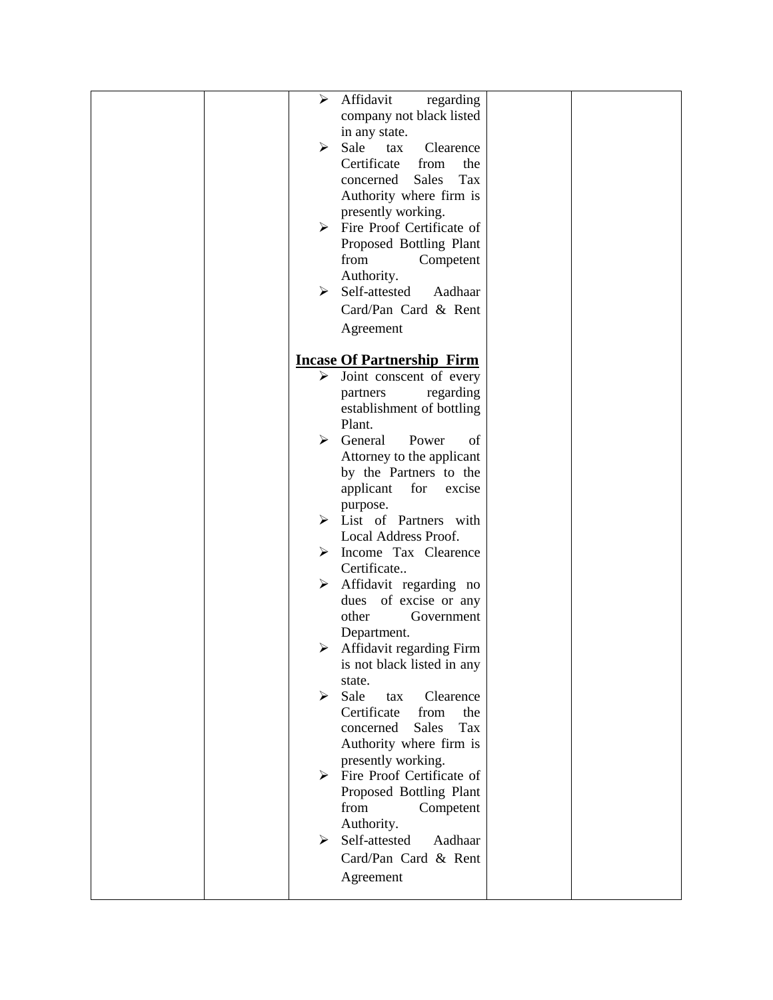|  | ➤ | Affidavit<br>regarding                     |  |
|--|---|--------------------------------------------|--|
|  |   | company not black listed                   |  |
|  |   | in any state.                              |  |
|  |   |                                            |  |
|  | ➤ | Sale<br>Clearence<br>tax                   |  |
|  |   | Certificate<br>from<br>the                 |  |
|  |   | <b>Sales</b><br>Tax<br>concerned           |  |
|  |   | Authority where firm is                    |  |
|  |   | presently working.                         |  |
|  |   | $\triangleright$ Fire Proof Certificate of |  |
|  |   | Proposed Bottling Plant                    |  |
|  |   | from<br>Competent                          |  |
|  |   | Authority.                                 |  |
|  | ≻ | Self-attested<br>Aadhaar                   |  |
|  |   | Card/Pan Card & Rent                       |  |
|  |   |                                            |  |
|  |   | Agreement                                  |  |
|  |   | <b>Incase Of Partnership Firm</b>          |  |
|  | ≻ |                                            |  |
|  |   | Joint conscent of every<br>regarding       |  |
|  |   | partners                                   |  |
|  |   | establishment of bottling<br>Plant.        |  |
|  | ⋗ | General<br>Power<br>of                     |  |
|  |   |                                            |  |
|  |   | Attorney to the applicant                  |  |
|  |   | by the Partners to the                     |  |
|  |   | applicant<br>for<br>excise                 |  |
|  |   | purpose.                                   |  |
|  |   | $\triangleright$ List of Partners with     |  |
|  |   | Local Address Proof.                       |  |
|  | ⋗ | Income Tax Clearence                       |  |
|  |   | Certificate                                |  |
|  | ➤ | Affidavit regarding no                     |  |
|  |   | of excise or any<br>dues                   |  |
|  |   | other<br>Government                        |  |
|  |   | Department.                                |  |
|  | ➤ | Affidavit regarding Firm                   |  |
|  |   | is not black listed in any                 |  |
|  |   | state.                                     |  |
|  | ⋗ | Sale<br>Clearence<br>tax                   |  |
|  |   | Certificate<br>from<br>the                 |  |
|  |   | Tax<br><b>Sales</b><br>concerned           |  |
|  |   | Authority where firm is                    |  |
|  |   | presently working.                         |  |
|  |   | $\triangleright$ Fire Proof Certificate of |  |
|  |   | Proposed Bottling Plant                    |  |
|  |   | from<br>Competent                          |  |
|  |   | Authority.                                 |  |
|  | ⋗ | Self-attested<br>Aadhaar                   |  |
|  |   | Card/Pan Card & Rent                       |  |
|  |   |                                            |  |
|  |   | Agreement                                  |  |
|  |   |                                            |  |